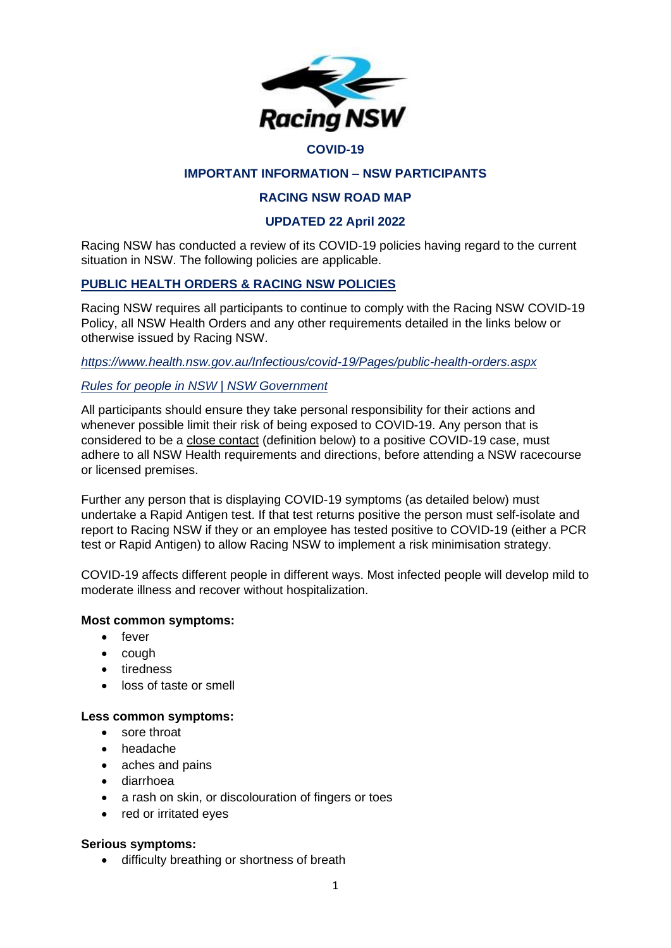

#### **COVID-19**

## **IMPORTANT INFORMATION – NSW PARTICIPANTS**

## **RACING NSW ROAD MAP**

### **UPDATED 22 April 2022**

Racing NSW has conducted a review of its COVID-19 policies having regard to the current situation in NSW. The following policies are applicable.

### **PUBLIC HEALTH ORDERS & RACING NSW POLICIES**

Racing NSW requires all participants to continue to comply with the Racing NSW COVID-19 Policy, all NSW Health Orders and any other requirements detailed in the links below or otherwise issued by Racing NSW.

*<https://www.health.nsw.gov.au/Infectious/covid-19/Pages/public-health-orders.aspx>*

### *[Rules for people in NSW | NSW Government](https://www.nsw.gov.au/covid-19/stay-safe/rules/people-in-nsw)*

All participants should ensure they take personal responsibility for their actions and whenever possible limit their risk of being exposed to COVID-19. Any person that is considered to be a close contact (definition below) to a positive COVID-19 case, must adhere to all NSW Health requirements and directions, before attending a NSW racecourse or licensed premises.

Further any person that is displaying COVID-19 symptoms (as detailed below) must undertake a Rapid Antigen test. If that test returns positive the person must self-isolate and report to Racing NSW if they or an employee has tested positive to COVID-19 (either a PCR test or Rapid Antigen) to allow Racing NSW to implement a risk minimisation strategy.

COVID-19 affects different people in different ways. Most infected people will develop mild to moderate illness and recover without hospitalization.

#### **Most common symptoms:**

- fever
- cough
- tiredness
- loss of taste or smell

#### **Less common symptoms:**

- sore throat
- headache
- aches and pains
- diarrhoea
- a rash on skin, or discolouration of fingers or toes
- red or irritated eyes

#### **Serious symptoms:**

• difficulty breathing or shortness of breath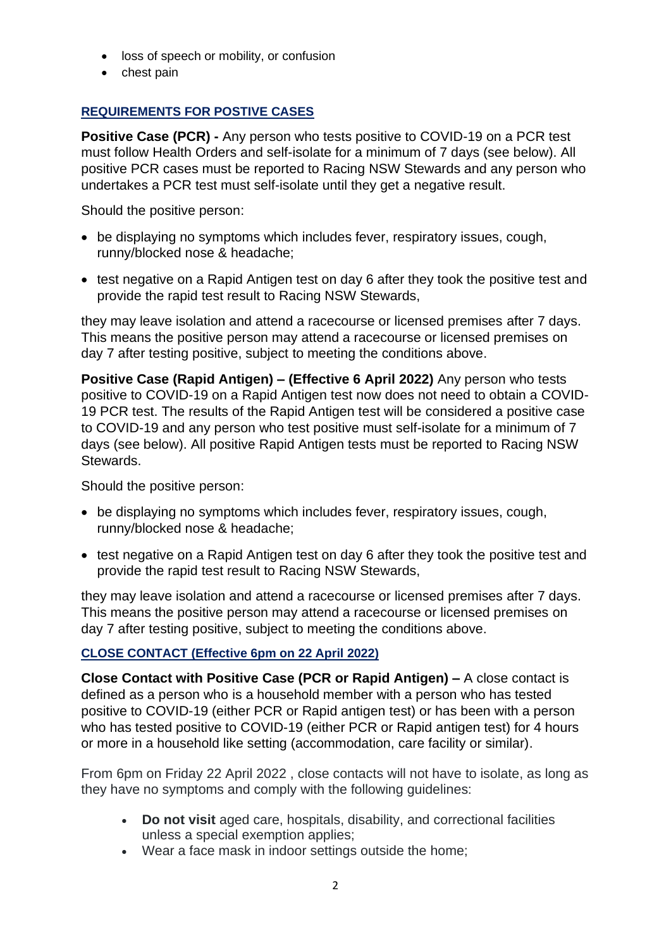- loss of speech or mobility, or confusion
- chest pain

# **REQUIREMENTS FOR POSTIVE CASES**

**Positive Case (PCR) -** Any person who tests positive to COVID-19 on a PCR test must follow Health Orders and self-isolate for a minimum of 7 days (see below). All positive PCR cases must be reported to Racing NSW Stewards and any person who undertakes a PCR test must self-isolate until they get a negative result.

Should the positive person:

- be displaying no symptoms which includes fever, respiratory issues, cough, runny/blocked nose & headache;
- test negative on a Rapid Antigen test on day 6 after they took the positive test and provide the rapid test result to Racing NSW Stewards,

they may leave isolation and attend a racecourse or licensed premises after 7 days. This means the positive person may attend a racecourse or licensed premises on day 7 after testing positive, subject to meeting the conditions above.

**Positive Case (Rapid Antigen) – (Effective 6 April 2022)** Any person who tests positive to COVID-19 on a Rapid Antigen test now does not need to obtain a COVID-19 PCR test. The results of the Rapid Antigen test will be considered a positive case to COVID-19 and any person who test positive must self-isolate for a minimum of 7 days (see below). All positive Rapid Antigen tests must be reported to Racing NSW Stewards.

Should the positive person:

- be displaying no symptoms which includes fever, respiratory issues, cough, runny/blocked nose & headache;
- test negative on a Rapid Antigen test on day 6 after they took the positive test and provide the rapid test result to Racing NSW Stewards,

they may leave isolation and attend a racecourse or licensed premises after 7 days. This means the positive person may attend a racecourse or licensed premises on day 7 after testing positive, subject to meeting the conditions above.

# **CLOSE CONTACT (Effective 6pm on 22 April 2022)**

**Close Contact with Positive Case (PCR or Rapid Antigen) –** A close contact is defined as a person who is a household member with a person who has tested positive to COVID-19 (either PCR or Rapid antigen test) or has been with a person who has tested positive to COVID-19 (either PCR or Rapid antigen test) for 4 hours or more in a household like setting (accommodation, care facility or similar).

From 6pm on Friday 22 April 2022 , close contacts will not have to isolate, as long as they have no symptoms and comply with the following guidelines:

- **Do not visit** aged care, hospitals, disability, and correctional facilities unless a special exemption applies;
- Wear a face mask in indoor settings outside the home;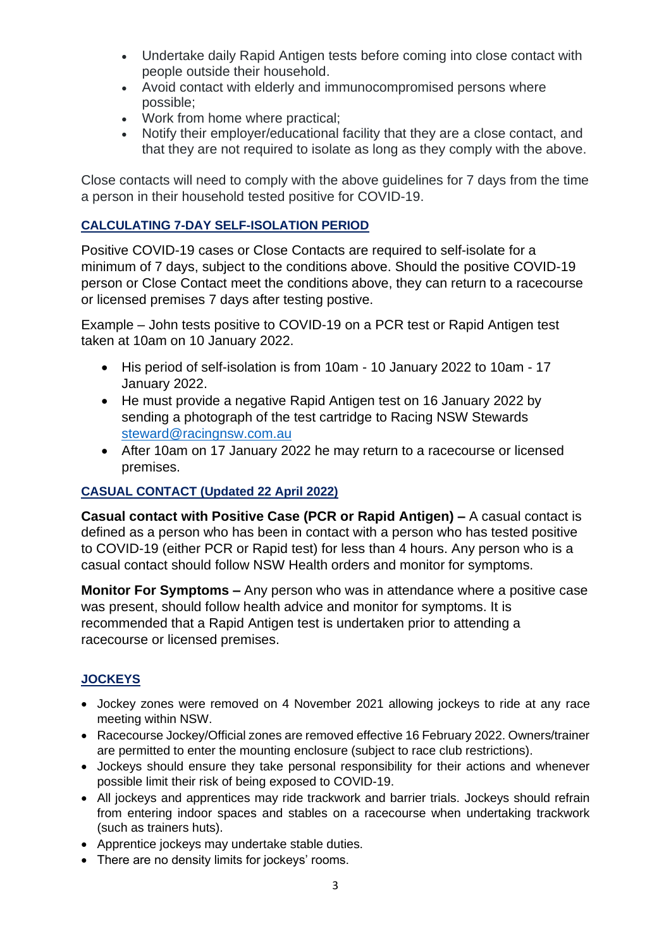- Undertake daily Rapid Antigen tests before coming into close contact with people outside their household.
- Avoid contact with elderly and immunocompromised persons where possible;
- Work from home where practical;
- Notify their employer/educational facility that they are a close contact, and that they are not required to isolate as long as they comply with the above.

Close contacts will need to comply with the above guidelines for 7 days from the time a person in their household tested positive for COVID-19.

# **CALCULATING 7-DAY SELF-ISOLATION PERIOD**

Positive COVID-19 cases or Close Contacts are required to self-isolate for a minimum of 7 days, subject to the conditions above. Should the positive COVID-19 person or Close Contact meet the conditions above, they can return to a racecourse or licensed premises 7 days after testing postive.

Example – John tests positive to COVID-19 on a PCR test or Rapid Antigen test taken at 10am on 10 January 2022.

- His period of self-isolation is from 10am 10 January 2022 to 10am 17 January 2022.
- He must provide a negative Rapid Antigen test on 16 January 2022 by sending a photograph of the test cartridge to Racing NSW Stewards [steward@racingnsw.com.au](mailto:steward@racingnsw.com.au)
- After 10am on 17 January 2022 he may return to a racecourse or licensed premises.

## **CASUAL CONTACT (Updated 22 April 2022)**

**Casual contact with Positive Case (PCR or Rapid Antigen) –** A casual contact is defined as a person who has been in contact with a person who has tested positive to COVID-19 (either PCR or Rapid test) for less than 4 hours. Any person who is a casual contact should follow NSW Health orders and monitor for symptoms.

**Monitor For Symptoms –** Any person who was in attendance where a positive case was present, should follow health advice and monitor for symptoms. It is recommended that a Rapid Antigen test is undertaken prior to attending a racecourse or licensed premises.

# **JOCKEYS**

- Jockey zones were removed on 4 November 2021 allowing jockeys to ride at any race meeting within NSW.
- Racecourse Jockey/Official zones are removed effective 16 February 2022. Owners/trainer are permitted to enter the mounting enclosure (subject to race club restrictions).
- Jockeys should ensure they take personal responsibility for their actions and whenever possible limit their risk of being exposed to COVID-19.
- All jockeys and apprentices may ride trackwork and barrier trials. Jockeys should refrain from entering indoor spaces and stables on a racecourse when undertaking trackwork (such as trainers huts).
- Apprentice jockeys may undertake stable duties.
- There are no density limits for jockeys' rooms.